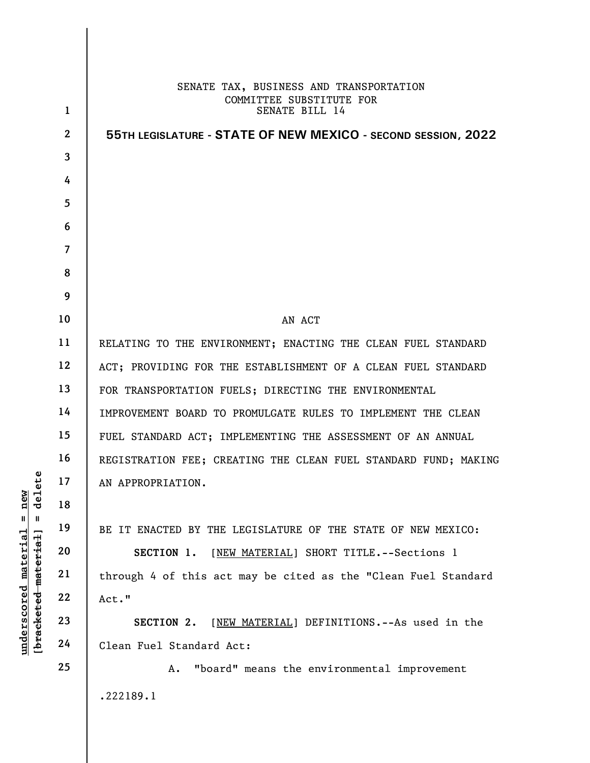|                                  |                | SENATE TAX, BUSINESS AND TRANSPORTATION                         |
|----------------------------------|----------------|-----------------------------------------------------------------|
|                                  | $\mathbf{1}$   | COMMITTEE SUBSTITUTE FOR<br>SENATE BILL 14                      |
|                                  | $\overline{2}$ | 55TH LEGISLATURE - STATE OF NEW MEXICO - SECOND SESSION, 2022   |
|                                  | 3              |                                                                 |
|                                  | 4              |                                                                 |
|                                  | 5              |                                                                 |
|                                  | 6              |                                                                 |
|                                  | $\overline{7}$ |                                                                 |
|                                  | 8              |                                                                 |
|                                  | 9              |                                                                 |
|                                  | 10             | AN ACT                                                          |
|                                  | 11             | RELATING TO THE ENVIRONMENT; ENACTING THE CLEAN FUEL STANDARD   |
|                                  | 12             | ACT; PROVIDING FOR THE ESTABLISHMENT OF A CLEAN FUEL STANDARD   |
|                                  | 13             | FOR TRANSPORTATION FUELS; DIRECTING THE ENVIRONMENTAL           |
|                                  | 14             | IMPROVEMENT BOARD TO PROMULGATE RULES TO IMPLEMENT THE CLEAN    |
|                                  | 15             | FUEL STANDARD ACT; IMPLEMENTING THE ASSESSMENT OF AN ANNUAL     |
|                                  | 16             | REGISTRATION FEE; CREATING THE CLEAN FUEL STANDARD FUND; MAKING |
| ete<br>$\overline{d}$<br>Σď      | 17             | AN APPROPRIATION.                                               |
| Ē<br>ರ<br>Ш<br>- 11              | 18             |                                                                 |
|                                  | 19             | BE IT ENACTED BY THE LEGISLATURE OF THE STATE OF NEW MEXICO:    |
| underscored material<br>material | 20             | SECTION 1.<br>[NEW MATERIAL] SHORT TITLE. -- Sections 1         |
|                                  | 21             | through 4 of this act may be cited as the "Clean Fuel Standard  |
|                                  | 22             | Act."                                                           |
| [ <del>brack</del> eted          | 23             | [NEW MATERIAL] DEFINITIONS. -- As used in the<br>SECTION 2.     |
|                                  | 24             | Clean Fuel Standard Act:                                        |
|                                  | 25             | "board" means the environmental improvement<br>Α.               |
|                                  |                | .222189.1                                                       |
|                                  |                |                                                                 |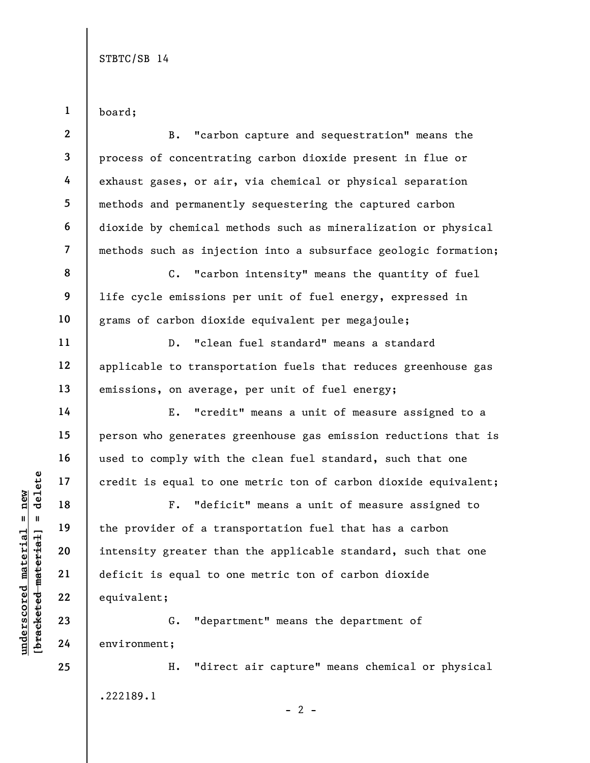board;

1

|                            | $\boldsymbol{2}$         | "carbon capture and sequestration" means the<br><b>B.</b>       |
|----------------------------|--------------------------|-----------------------------------------------------------------|
|                            | $\mathbf{3}$             | process of concentrating carbon dioxide present in flue or      |
|                            | 4                        | exhaust gases, or air, via chemical or physical separation      |
|                            | 5                        | methods and permanently sequestering the captured carbon        |
|                            | 6                        | dioxide by chemical methods such as mineralization or physical  |
|                            | $\overline{\mathcal{L}}$ | methods such as injection into a subsurface geologic formation; |
|                            | 8                        | "carbon intensity" means the quantity of fuel<br>$C$ .          |
|                            | 9                        | life cycle emissions per unit of fuel energy, expressed in      |
|                            | 10                       | grams of carbon dioxide equivalent per megajoule;               |
|                            | 11                       | "clean fuel standard" means a standard<br>$D$ .                 |
|                            | 12                       | applicable to transportation fuels that reduces greenhouse gas  |
|                            | 13                       | emissions, on average, per unit of fuel energy;                 |
|                            | 14                       | "credit" means a unit of measure assigned to a<br>Ε.            |
|                            | 15                       | person who generates greenhouse gas emission reductions that is |
|                            | 16                       | used to comply with the clean fuel standard, such that one      |
| delete                     | 17                       | credit is equal to one metric ton of carbon dioxide equivalent; |
| new                        | 18                       | "deficit" means a unit of measure assigned to<br>$F$ .          |
| Ш                          | 19                       | the provider of a transportation fuel that has a carbon         |
| eria.<br>rial <sub>.</sub> | 20                       | intensity greater than the applicable standard, such that one   |
| mate<br>mat                | 21                       | deficit is equal to one metric ton of carbon dioxide            |
| underscored                | 22                       | equivalent;                                                     |
| [ <del>brack</del> eted    | 23                       | "department" means the department of<br>G.                      |
|                            | 24                       | environment;                                                    |
|                            | 25                       | "direct air capture" means chemical or physical<br>Η.           |
|                            |                          |                                                                 |

.222189.1

 $- 2 -$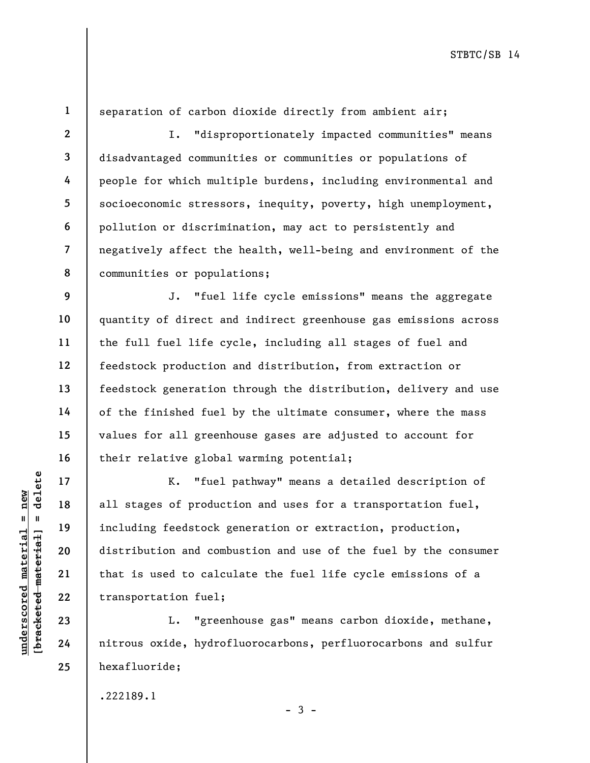1 2

3

4

5

6

7

8

17

18

19

20

21

22

23

24

25

separation of carbon dioxide directly from ambient air;

I. "disproportionately impacted communities" means disadvantaged communities or communities or populations of people for which multiple burdens, including environmental and socioeconomic stressors, inequity, poverty, high unemployment, pollution or discrimination, may act to persistently and negatively affect the health, well-being and environment of the communities or populations;

9 10 11 12 13 14 15 16 J. "fuel life cycle emissions" means the aggregate quantity of direct and indirect greenhouse gas emissions across the full fuel life cycle, including all stages of fuel and feedstock production and distribution, from extraction or feedstock generation through the distribution, delivery and use of the finished fuel by the ultimate consumer, where the mass values for all greenhouse gases are adjusted to account for their relative global warming potential;

underscore material material and the set of product<br>  $\begin{array}{c|c|c|c} \hline \text{u} & \text{u} & \text{u} & \text{u} & \text{u} & \text{u} & \text{u} & \text{u} & \text{u} & \text{u} & \text{u} & \text{u} & \text{u} & \text{u} & \text{u} & \text{u} & \text{u} & \text{u} & \text{u} & \text{u} & \text{u} & \text{u} & \text{u} & \text{u} & \text{u} & \text$ K. "fuel pathway" means a detailed description of all stages of production and uses for a transportation fuel, including feedstock generation or extraction, production, distribution and combustion and use of the fuel by the consumer that is used to calculate the fuel life cycle emissions of a transportation fuel;

L. "greenhouse gas" means carbon dioxide, methane, nitrous oxide, hydrofluorocarbons, perfluorocarbons and sulfur hexafluoride;

 $-3 -$ 

.222189.1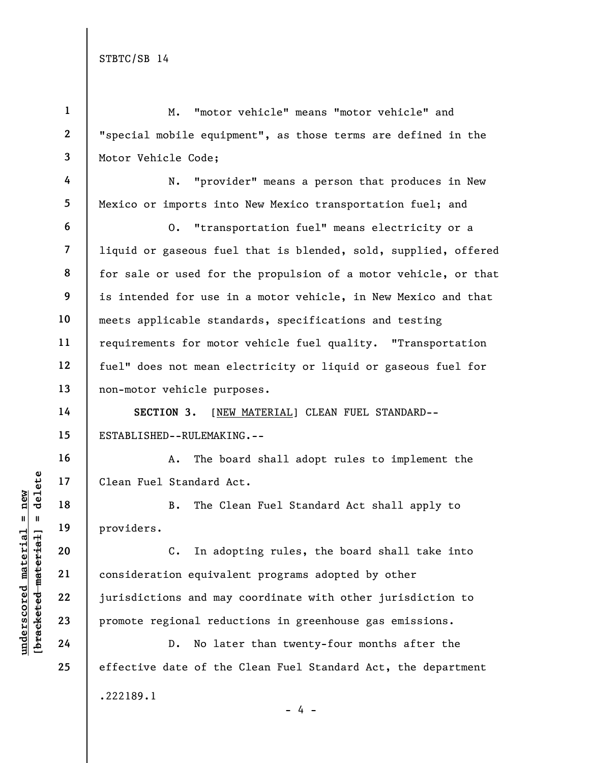underscored material material standard A<br>  $\begin{array}{c|c|c|c} \n\text{u} & \text{u} & \text{u} & \text{u} & \text{u} & \text{u} & \text{u} & \text{u} & \text{u} & \text{u} & \text{u} & \text{u} & \text{u} & \text{u} & \text{u} & \text{u} & \text{u} & \text{u} & \text{u} & \text{u} & \text{u} & \text{u} & \text{u} & \text{u} & \text{u} & \text{u} & \text{u} & \text$ 1 2 3 4 5 6 7 8 9 10 11 12 13 14 15 16 17 18 19 20 21 22 23 24 25 M. "motor vehicle" means "motor vehicle" and "special mobile equipment", as those terms are defined in the Motor Vehicle Code; N. "provider" means a person that produces in New Mexico or imports into New Mexico transportation fuel; and O. "transportation fuel" means electricity or a liquid or gaseous fuel that is blended, sold, supplied, offered for sale or used for the propulsion of a motor vehicle, or that is intended for use in a motor vehicle, in New Mexico and that meets applicable standards, specifications and testing requirements for motor vehicle fuel quality. "Transportation fuel" does not mean electricity or liquid or gaseous fuel for non-motor vehicle purposes. SECTION 3. [NEW MATERIAL] CLEAN FUEL STANDARD--ESTABLISHED--RULEMAKING.-- A. The board shall adopt rules to implement the Clean Fuel Standard Act. B. The Clean Fuel Standard Act shall apply to providers. C. In adopting rules, the board shall take into consideration equivalent programs adopted by other jurisdictions and may coordinate with other jurisdiction to promote regional reductions in greenhouse gas emissions. D. No later than twenty-four months after the effective date of the Clean Fuel Standard Act, the department .222189.1 - 4 -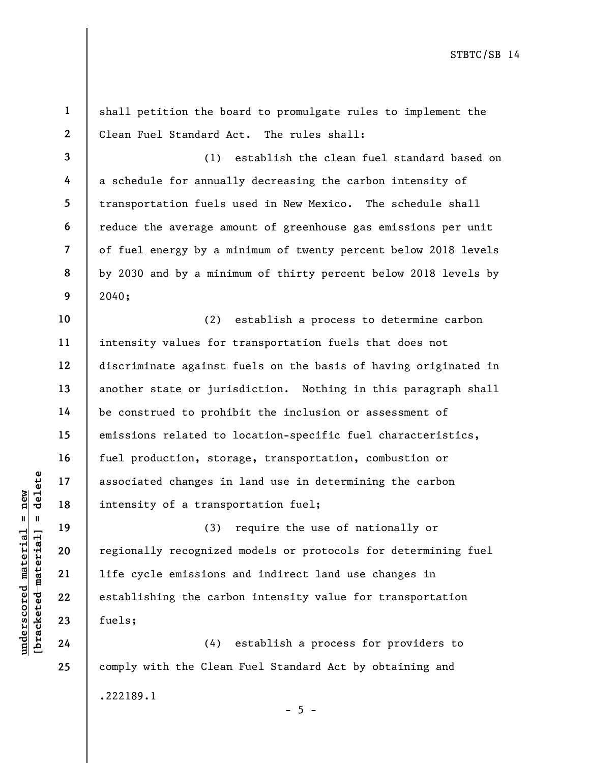1 2 3 4 5 6 7 8 9 10 11 12 13 14 15 16 17 18 19 shall petition the board to promulgate rules to implement the Clean Fuel Standard Act. The rules shall: (1) establish the clean fuel standard based on a schedule for annually decreasing the carbon intensity of transportation fuels used in New Mexico. The schedule shall reduce the average amount of greenhouse gas emissions per unit of fuel energy by a minimum of twenty percent below 2018 levels by 2030 and by a minimum of thirty percent below 2018 levels by 2040; (2) establish a process to determine carbon intensity values for transportation fuels that does not discriminate against fuels on the basis of having originated in another state or jurisdiction. Nothing in this paragraph shall be construed to prohibit the inclusion or assessment of emissions related to location-specific fuel characteristics, fuel production, storage, transportation, combustion or associated changes in land use in determining the carbon intensity of a transportation fuel; (3) require the use of nationally or

understand material material intensity of a transport of a transport of a transport of a transport of a transport of a transport of a transport of a transport of a transport of a transport of a transport of a transport of regionally recognized models or protocols for determining fuel life cycle emissions and indirect land use changes in establishing the carbon intensity value for transportation fuels;

20

21

22

23

24

25

(4) establish a process for providers to comply with the Clean Fuel Standard Act by obtaining and .222189.1

 $- 5 -$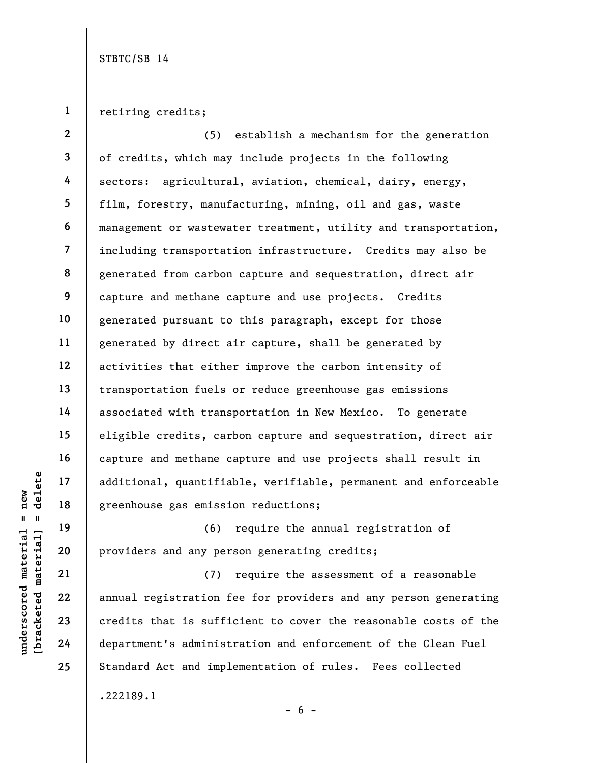1 retiring credits;

2 3 4 5 6 7 8 9 10 11 12 13 14 15 16 17 18 (5) establish a mechanism for the generation of credits, which may include projects in the following sectors: agricultural, aviation, chemical, dairy, energy, film, forestry, manufacturing, mining, oil and gas, waste management or wastewater treatment, utility and transportation, including transportation infrastructure. Credits may also be generated from carbon capture and sequestration, direct air capture and methane capture and use projects. Credits generated pursuant to this paragraph, except for those generated by direct air capture, shall be generated by activities that either improve the carbon intensity of transportation fuels or reduce greenhouse gas emissions associated with transportation in New Mexico. To generate eligible credits, carbon capture and sequestration, direct air capture and methane capture and use projects shall result in additional, quantifiable, verifiable, permanent and enforceable greenhouse gas emission reductions;

(6) require the annual registration of providers and any person generating credits;

underscored material = new [bracketed material] = delete (7) require the assessment of a reasonable annual registration fee for providers and any person generating credits that is sufficient to cover the reasonable costs of the department's administration and enforcement of the Clean Fuel Standard Act and implementation of rules. Fees collected .222189.1

19

20

21

22

23

24

25

 $- 6 -$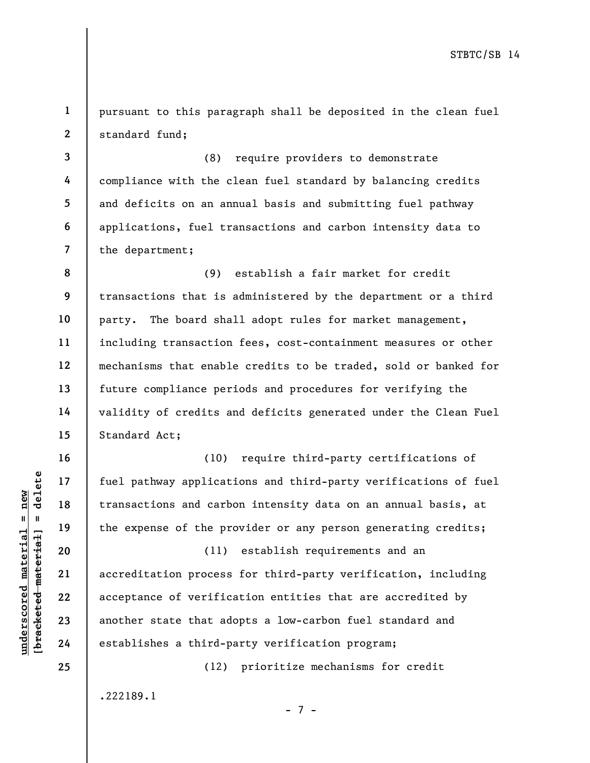1 2 pursuant to this paragraph shall be deposited in the clean fuel standard fund;

3 4 5 6 7 (8) require providers to demonstrate compliance with the clean fuel standard by balancing credits and deficits on an annual basis and submitting fuel pathway applications, fuel transactions and carbon intensity data to the department;

8 9 10 11 12 13 14 15 (9) establish a fair market for credit transactions that is administered by the department or a third party. The board shall adopt rules for market management, including transaction fees, cost-containment measures or other mechanisms that enable credits to be traded, sold or banked for future compliance periods and procedures for verifying the validity of credits and deficits generated under the Clean Fuel Standard Act;

(10) require third-party certifications of fuel pathway applications and third-party verifications of fuel transactions and carbon intensity data on an annual basis, at the expense of the provider or any person generating credits;

under 17<br>
= 18<br>
= 18<br>
= 19<br>
= 19<br>
= 19<br>
= 19<br>
= 19<br>
= 19<br>
= 19<br>
= 19<br>
= 19<br>
= 19<br>
= 19<br>
= 19<br>
= 19<br>
= 19<br>
= 11<br>
= 11<br>
= 11<br>
= 11<br>
= 11<br>
= 11<br>
= 11<br>
= 11<br>
= 11<br>
= 11<br>
= 11<br>
= 11<br>
= 11<br>
= 11<br>
= 11<br>
= 11<br>
= 11<br>
= 11<br>
= 11<br>
= (11) establish requirements and an accreditation process for third-party verification, including acceptance of verification entities that are accredited by another state that adopts a low-carbon fuel standard and establishes a third-party verification program;

(12) prioritize mechanisms for credit

- 7 -

.222189.1

16

17

18

19

20

21

22

23

24

25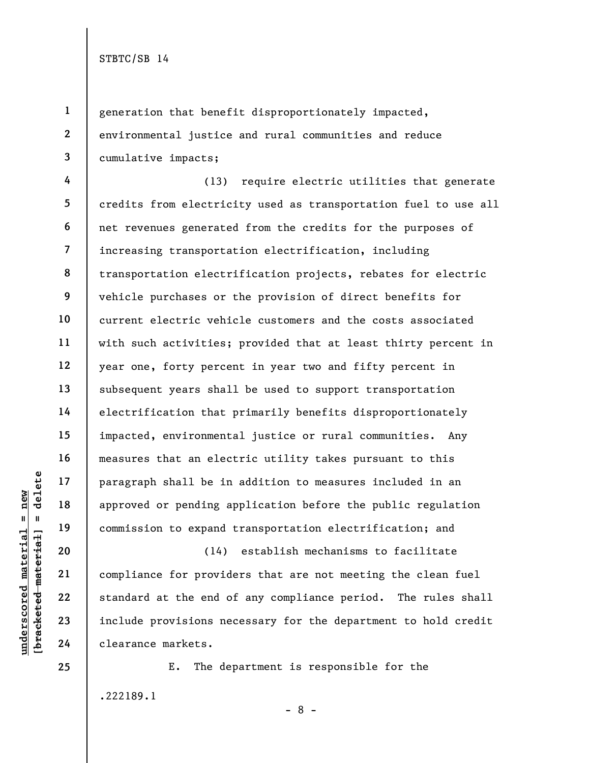1

2

3

generation that benefit disproportionately impacted, environmental justice and rural communities and reduce cumulative impacts;

4 5 6 7 8 9 10 11 12 13 14 15 16 17 18 19 (13) require electric utilities that generate credits from electricity used as transportation fuel to use all net revenues generated from the credits for the purposes of increasing transportation electrification, including transportation electrification projects, rebates for electric vehicle purchases or the provision of direct benefits for current electric vehicle customers and the costs associated with such activities; provided that at least thirty percent in year one, forty percent in year two and fifty percent in subsequent years shall be used to support transportation electrification that primarily benefits disproportionately impacted, environmental justice or rural communities. Any measures that an electric utility takes pursuant to this paragraph shall be in addition to measures included in an approved or pending application before the public regulation commission to expand transportation electrification; and

underscored material = new [bracketed material] = delete (14) establish mechanisms to facilitate compliance for providers that are not meeting the clean fuel standard at the end of any compliance period. The rules shall include provisions necessary for the department to hold credit clearance markets.

> E. The department is responsible for the .222189.1

20

21

22

23

24

25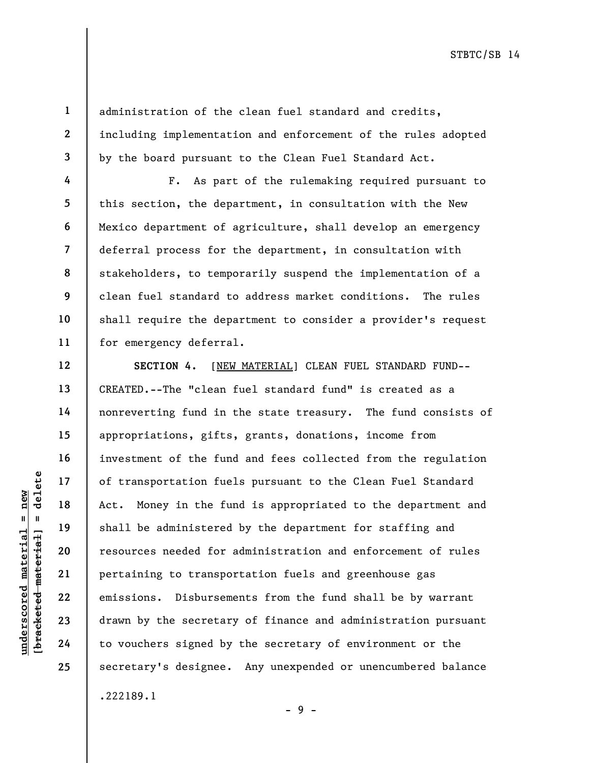1 2

3

4

5

6

7

8

9

10

11

12

13

14

15

16

17

18

19

20

21

22

23

24

25

administration of the clean fuel standard and credits, including implementation and enforcement of the rules adopted by the board pursuant to the Clean Fuel Standard Act.

F. As part of the rulemaking required pursuant to this section, the department, in consultation with the New Mexico department of agriculture, shall develop an emergency deferral process for the department, in consultation with stakeholders, to temporarily suspend the implementation of a clean fuel standard to address market conditions. The rules shall require the department to consider a provider's request for emergency deferral.

understation fue<br>
= 17<br>
= 18<br>
= 19<br>
= 19<br>
= 19<br>
= 19<br>
= 19<br>
= 19<br>
= 19<br>
= 19<br>
= 19<br>
= 19<br>
= 19<br>
= 19<br>
= 19<br>
= 19<br>
= 19<br>
= 19<br>
21<br>
= 19<br>
= 19<br>
= 19<br>
= 19<br>
= 19<br>
= 19<br>
= 19<br>
= 19<br>
= 19<br>
= 19<br>
= 19<br>
= 19<br>
= 19<br>
= 19<br>
= 19<br>
= SECTION 4. [NEW MATERIAL] CLEAN FUEL STANDARD FUND--CREATED.--The "clean fuel standard fund" is created as a nonreverting fund in the state treasury. The fund consists of appropriations, gifts, grants, donations, income from investment of the fund and fees collected from the regulation of transportation fuels pursuant to the Clean Fuel Standard Act. Money in the fund is appropriated to the department and shall be administered by the department for staffing and resources needed for administration and enforcement of rules pertaining to transportation fuels and greenhouse gas emissions. Disbursements from the fund shall be by warrant drawn by the secretary of finance and administration pursuant to vouchers signed by the secretary of environment or the secretary's designee. Any unexpended or unencumbered balance .222189.1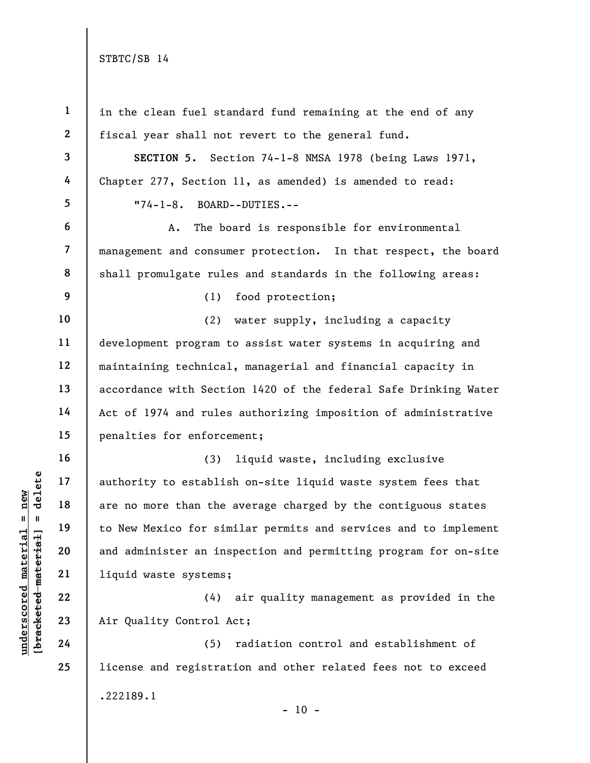| $\mathbf{1}$            |                                                                 |
|-------------------------|-----------------------------------------------------------------|
|                         | in the clean fuel standard fund remaining at the end of any     |
| $\mathbf{2}$            | fiscal year shall not revert to the general fund.               |
| $\overline{\mathbf{3}}$ | SECTION 5. Section 74-1-8 NMSA 1978 (being Laws 1971,           |
| 4                       | Chapter 277, Section 11, as amended) is amended to read:        |
| $5\phantom{.}$          | $"74-1-8.$<br>BOARD--DUTIES.--                                  |
| 6                       | The board is responsible for environmental<br>А.                |
| $\overline{7}$          | management and consumer protection. In that respect, the board  |
| 8                       | shall promulgate rules and standards in the following areas:    |
| 9                       | food protection;<br>(1)                                         |
| 10                      | (2)<br>water supply, including a capacity                       |
| 11                      | development program to assist water systems in acquiring and    |
| 12                      | maintaining technical, managerial and financial capacity in     |
| 13                      | accordance with Section 1420 of the federal Safe Drinking Water |
| 14                      | Act of 1974 and rules authorizing imposition of administrative  |
| 15                      | penalties for enforcement;                                      |
| 16                      | liquid waste, including exclusive<br>(3)                        |
| 17                      | authority to establish on-site liquid waste system fees that    |
| 18                      | are no more than the average charged by the contiguous states   |
| 19                      | to New Mexico for similar permits and services and to implement |
| 20                      | and administer an inspection and permitting program for on-site |
| 21                      | liquid waste systems;                                           |
| 22                      | air quality management as provided in the<br>(4)                |
| 23                      | Air Quality Control Act;                                        |
| 24                      | radiation control and establishment of<br>(5)                   |
| 25                      | license and registration and other related fees not to exceed   |
|                         | .222189.1                                                       |
|                         | $-10 -$                                                         |

 $\frac{\text{undersecond material} = \text{new}}{\text{beac detected} - \text{matter}}$  = delete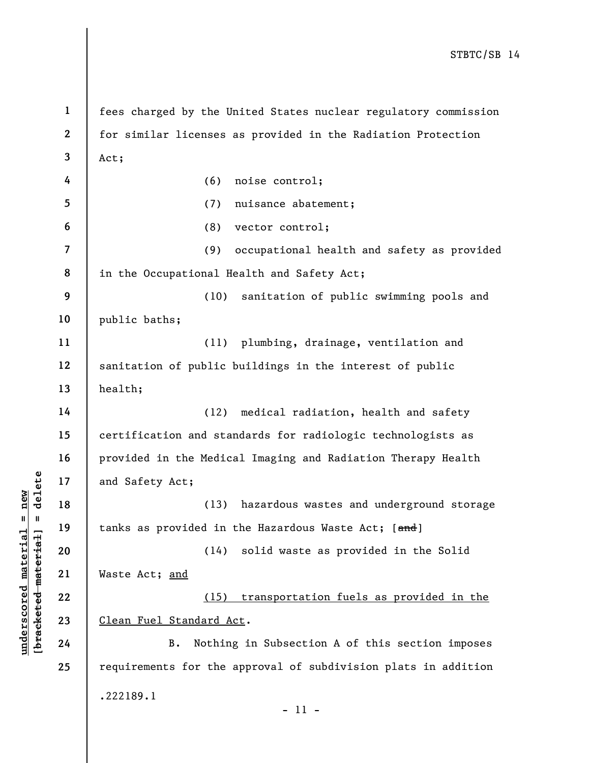underscore in the set of the set of the set of the set of the set of the set of the set of the set of the set of the set of the set of the set of the set of the set of the set of the set of the set of the set of the set of 1 2 3 4 5 6 7 8 9 10 11 12 13 14 15 16 17 18 19 20 21 22 23 24 25 fees charged by the United States nuclear regulatory commission for similar licenses as provided in the Radiation Protection Act; (6) noise control; (7) nuisance abatement; (8) vector control; (9) occupational health and safety as provided in the Occupational Health and Safety Act; (10) sanitation of public swimming pools and public baths; (11) plumbing, drainage, ventilation and sanitation of public buildings in the interest of public health; (12) medical radiation, health and safety certification and standards for radiologic technologists as provided in the Medical Imaging and Radiation Therapy Health and Safety Act; (13) hazardous wastes and underground storage tanks as provided in the Hazardous Waste Act; [and] (14) solid waste as provided in the Solid Waste Act; and (15) transportation fuels as provided in the Clean Fuel Standard Act. B. Nothing in Subsection A of this section imposes requirements for the approval of subdivision plats in addition .222189.1 - 11 -